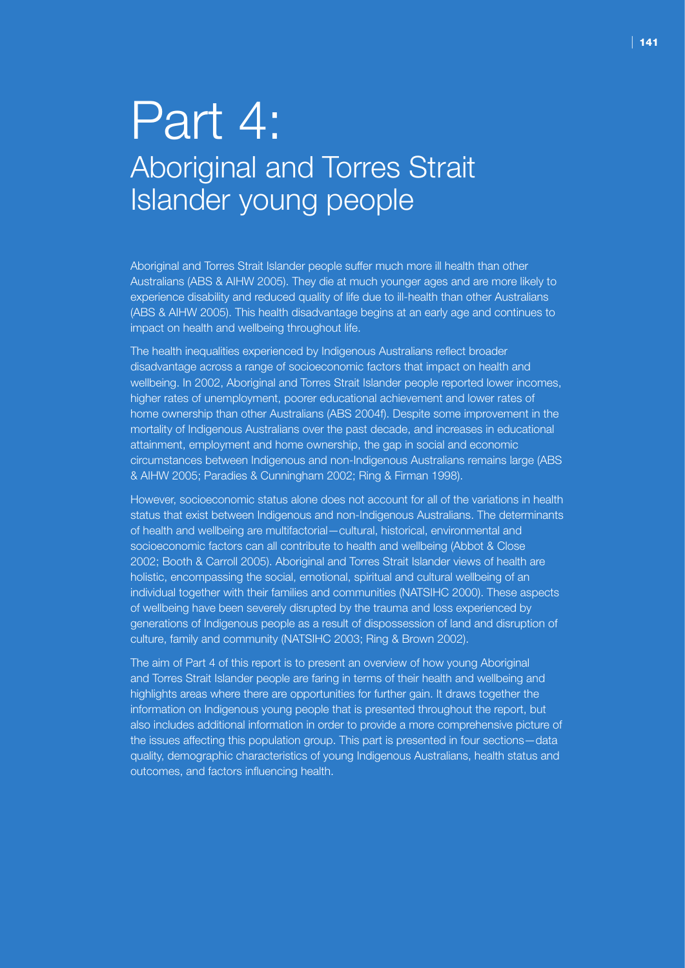# Part 4: Aboriginal and Torres Strait Islander young people

Aboriginal and Torres Strait Islander people suffer much more ill health than other Australians (ABS & AIHW 2005). They die at much younger ages and are more likely to experience disability and reduced quality of life due to ill-health than other Australians (ABS & AIHW 2005). This health disadvantage begins at an early age and continues to impact on health and wellbeing throughout life.

The health inequalities experienced by Indigenous Australians reflect broader disadvantage across a range of socioeconomic factors that impact on health and wellbeing. In 2002, Aboriginal and Torres Strait Islander people reported lower incomes, higher rates of unemployment, poorer educational achievement and lower rates of home ownership than other Australians (ABS 2004f). Despite some improvement in the mortality of Indigenous Australians over the past decade, and increases in educational attainment, employment and home ownership, the gap in social and economic circumstances between Indigenous and non-Indigenous Australians remains large (ABS & AIHW 2005; Paradies & Cunningham 2002; Ring & Firman 1998).

However, socioeconomic status alone does not account for all of the variations in health status that exist between Indigenous and non-Indigenous Australians. The determinants of health and wellbeing are multifactorial—cultural, historical, environmental and socioeconomic factors can all contribute to health and wellbeing (Abbot & Close 2002; Booth & Carroll 2005). Aboriginal and Torres Strait Islander views of health are holistic, encompassing the social, emotional, spiritual and cultural wellbeing of an individual together with their families and communities (NATSIHC 2000). These aspects of wellbeing have been severely disrupted by the trauma and loss experienced by generations of Indigenous people as a result of dispossession of land and disruption of culture, family and community (NATSIHC 2003; Ring & Brown 2002).

The aim of Part 4 of this report is to present an overview of how young Aboriginal and Torres Strait Islander people are faring in terms of their health and wellbeing and highlights areas where there are opportunities for further gain. It draws together the information on Indigenous young people that is presented throughout the report, but also includes additional information in order to provide a more comprehensive picture of the issues affecting this population group. This part is presented in four sections—data quality, demographic characteristics of young Indigenous Australians, health status and outcomes, and factors influencing health.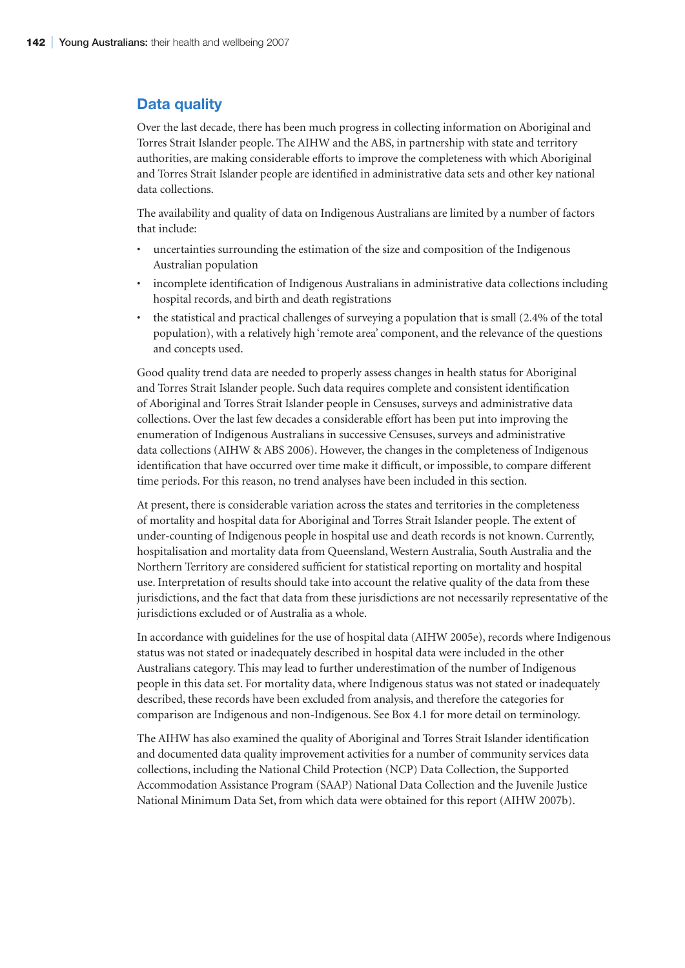# **Data quality**

Over the last decade, there has been much progress in collecting information on Aboriginal and Torres Strait Islander people. The AIHW and the ABS, in partnership with state and territory authorities, are making considerable efforts to improve the completeness with which Aboriginal and Torres Strait Islander people are identified in administrative data sets and other key national data collections.

The availability and quality of data on Indigenous Australians are limited by a number of factors that include:

- uncertainties surrounding the estimation of the size and composition of the Indigenous Australian population
- incomplete identification of Indigenous Australians in administrative data collections including hospital records, and birth and death registrations
- the statistical and practical challenges of surveying a population that is small (2.4% of the total population), with a relatively high 'remote area' component, and the relevance of the questions and concepts used.

Good quality trend data are needed to properly assess changes in health status for Aboriginal and Torres Strait Islander people. Such data requires complete and consistent identification of Aboriginal and Torres Strait Islander people in Censuses, surveys and administrative data collections. Over the last few decades a considerable effort has been put into improving the enumeration of Indigenous Australians in successive Censuses, surveys and administrative data collections (AIHW & ABS 2006). However, the changes in the completeness of Indigenous identification that have occurred over time make it difficult, or impossible, to compare different time periods. For this reason, no trend analyses have been included in this section.

At present, there is considerable variation across the states and territories in the completeness of mortality and hospital data for Aboriginal and Torres Strait Islander people. The extent of under-counting of Indigenous people in hospital use and death records is not known. Currently, hospitalisation and mortality data from Queensland, Western Australia, South Australia and the Northern Territory are considered sufficient for statistical reporting on mortality and hospital use. Interpretation of results should take into account the relative quality of the data from these jurisdictions, and the fact that data from these jurisdictions are not necessarily representative of the jurisdictions excluded or of Australia as a whole.

In accordance with guidelines for the use of hospital data (AIHW 2005e), records where Indigenous status was not stated or inadequately described in hospital data were included in the other Australians category. This may lead to further underestimation of the number of Indigenous people in this data set. For mortality data, where Indigenous status was not stated or inadequately described, these records have been excluded from analysis, and therefore the categories for comparison are Indigenous and non-Indigenous. See Box 4.1 for more detail on terminology.

The AIHW has also examined the quality of Aboriginal and Torres Strait Islander identification and documented data quality improvement activities for a number of community services data collections, including the National Child Protection (NCP) Data Collection, the Supported Accommodation Assistance Program (SAAP) National Data Collection and the Juvenile Justice National Minimum Data Set, from which data were obtained for this report (AIHW 2007b).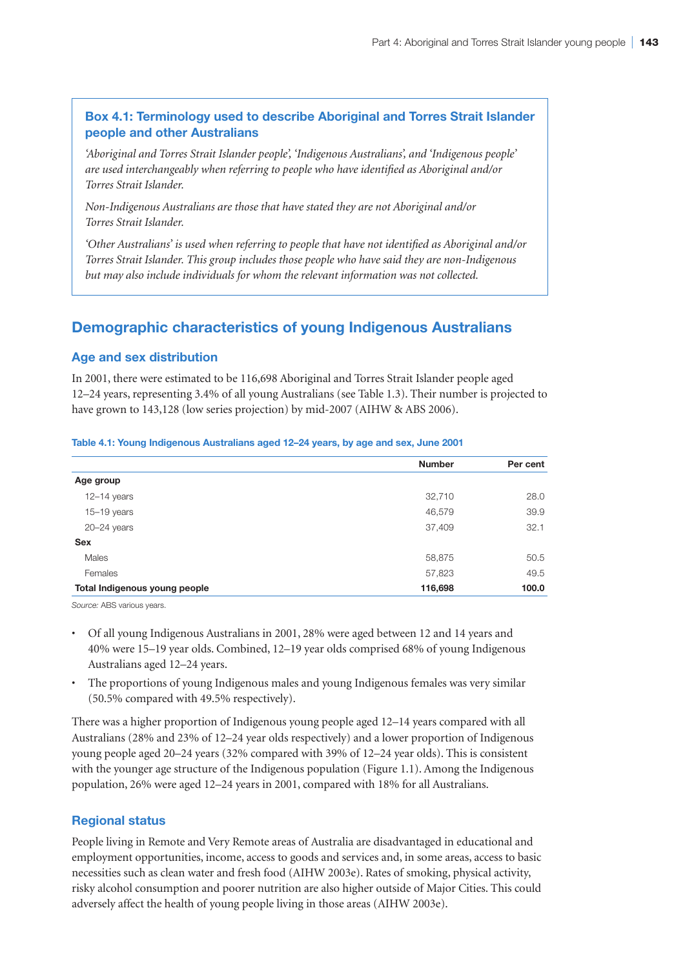# **Box 4.1: Terminology used to describe Aboriginal and Torres Strait Islander people and other Australians**

*'Aboriginal and Torres Strait Islander people', 'Indigenous Australians', and 'Indigenous people' are used interchangeably when referring to people who have identified as Aboriginal and/or Torres Strait Islander.*

*Non-Indigenous Australians are those that have stated they are not Aboriginal and/or Torres Strait Islander.*

*'Other Australians' is used when referring to people that have not identified as Aboriginal and/or Torres Strait Islander. This group includes those people who have said they are non-Indigenous but may also include individuals for whom the relevant information was not collected.* 

# **Demographic characteristics of young Indigenous Australians**

# **Age and sex distribution**

In 2001, there were estimated to be 116,698 Aboriginal and Torres Strait Islander people aged 12–24 years, representing 3.4% of all young Australians (see Table 1.3). Their number is projected to have grown to 143,128 (low series projection) by mid-2007 (AIHW & ABS 2006).

#### **Table 4.1: Young Indigenous Australians aged 12–24 years, by age and sex, June 2001**

|                               | <b>Number</b> | Per cent |
|-------------------------------|---------------|----------|
| Age group                     |               |          |
| $12-14$ years                 | 32,710        | 28.0     |
| $15-19$ years                 | 46,579        | 39.9     |
| $20 - 24$ years               | 37,409        | 32.1     |
| <b>Sex</b>                    |               |          |
| Males                         | 58,875        | 50.5     |
| Females                       | 57,823        | 49.5     |
| Total Indigenous young people | 116,698       | 100.0    |

*Source:* ABS various years.

- Of all young Indigenous Australians in 2001, 28% were aged between 12 and 14 years and 40% were 15–19 year olds. Combined, 12–19 year olds comprised 68% of young Indigenous Australians aged 12–24 years.
- The proportions of young Indigenous males and young Indigenous females was very similar (50.5% compared with 49.5% respectively).

There was a higher proportion of Indigenous young people aged 12–14 years compared with all Australians (28% and 23% of 12–24 year olds respectively) and a lower proportion of Indigenous young people aged 20–24 years (32% compared with 39% of 12–24 year olds). This is consistent with the younger age structure of the Indigenous population (Figure 1.1). Among the Indigenous population, 26% were aged 12–24 years in 2001, compared with 18% for all Australians.

# **Regional status**

People living in Remote and Very Remote areas of Australia are disadvantaged in educational and employment opportunities, income, access to goods and services and, in some areas, access to basic necessities such as clean water and fresh food (AIHW 2003e). Rates of smoking, physical activity, risky alcohol consumption and poorer nutrition are also higher outside of Major Cities. This could adversely affect the health of young people living in those areas (AIHW 2003e).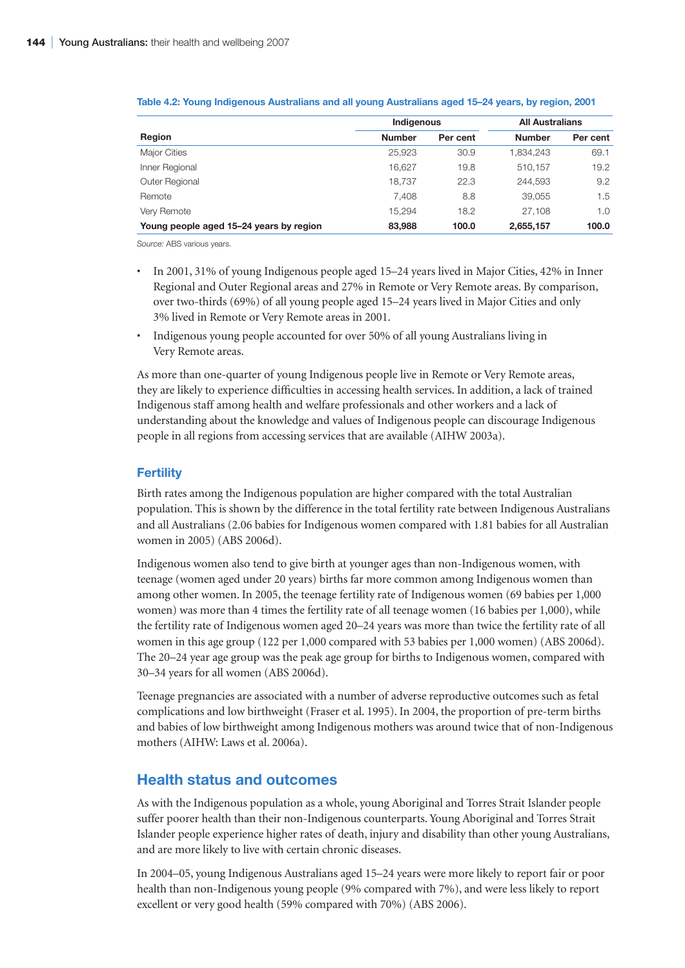|                                         | Indigenous    |          | <b>All Australians</b> |          |  |
|-----------------------------------------|---------------|----------|------------------------|----------|--|
| Region                                  | <b>Number</b> | Per cent | <b>Number</b>          | Per cent |  |
| <b>Major Cities</b>                     | 25.923        | 30.9     | 1,834,243              | 69.1     |  |
| Inner Regional                          | 16.627        | 19.8     | 510.157                | 19.2     |  |
| Outer Regional                          | 18.737        | 22.3     | 244.593                | 9.2      |  |
| Remote                                  | 7.408         | 8.8      | 39.055                 | 1.5      |  |
| Very Remote                             | 15.294        | 18.2     | 27,108                 | 1.0      |  |
| Young people aged 15-24 years by region | 83,988        | 100.0    | 2,655,157              | 100.0    |  |

#### **Table 4.2: Young Indigenous Australians and all young Australians aged 15–24 years, by region, 2001**

*Source:* ABS various years.

- In 2001, 31% of young Indigenous people aged 15–24 years lived in Major Cities, 42% in Inner Regional and Outer Regional areas and 27% in Remote or Very Remote areas. By comparison, over two-thirds (69%) of all young people aged 15–24 years lived in Major Cities and only 3% lived in Remote or Very Remote areas in 2001.
- Indigenous young people accounted for over 50% of all young Australians living in Very Remote areas.

As more than one-quarter of young Indigenous people live in Remote or Very Remote areas, they are likely to experience difficulties in accessing health services. In addition, a lack of trained Indigenous staff among health and welfare professionals and other workers and a lack of understanding about the knowledge and values of Indigenous people can discourage Indigenous people in all regions from accessing services that are available (AIHW 2003a).

# **Fertility**

Birth rates among the Indigenous population are higher compared with the total Australian population. This is shown by the difference in the total fertility rate between Indigenous Australians and all Australians (2.06 babies for Indigenous women compared with 1.81 babies for all Australian women in 2005) (ABS 2006d).

Indigenous women also tend to give birth at younger ages than non-Indigenous women, with teenage (women aged under 20 years) births far more common among Indigenous women than among other women. In 2005, the teenage fertility rate of Indigenous women (69 babies per 1,000 women) was more than 4 times the fertility rate of all teenage women (16 babies per 1,000), while the fertility rate of Indigenous women aged 20–24 years was more than twice the fertility rate of all women in this age group (122 per 1,000 compared with 53 babies per 1,000 women) (ABS 2006d). The 20–24 year age group was the peak age group for births to Indigenous women, compared with 30–34 years for all women (ABS 2006d).

Teenage pregnancies are associated with a number of adverse reproductive outcomes such as fetal complications and low birthweight (Fraser et al. 1995). In 2004, the proportion of pre-term births and babies of low birthweight among Indigenous mothers was around twice that of non-Indigenous mothers (AIHW: Laws et al. 2006a).

# **Health status and outcomes**

As with the Indigenous population as a whole, young Aboriginal and Torres Strait Islander people suffer poorer health than their non-Indigenous counterparts. Young Aboriginal and Torres Strait Islander people experience higher rates of death, injury and disability than other young Australians, and are more likely to live with certain chronic diseases.

In 2004–05, young Indigenous Australians aged 15–24 years were more likely to report fair or poor health than non-Indigenous young people (9% compared with 7%), and were less likely to report excellent or very good health (59% compared with 70%) (ABS 2006).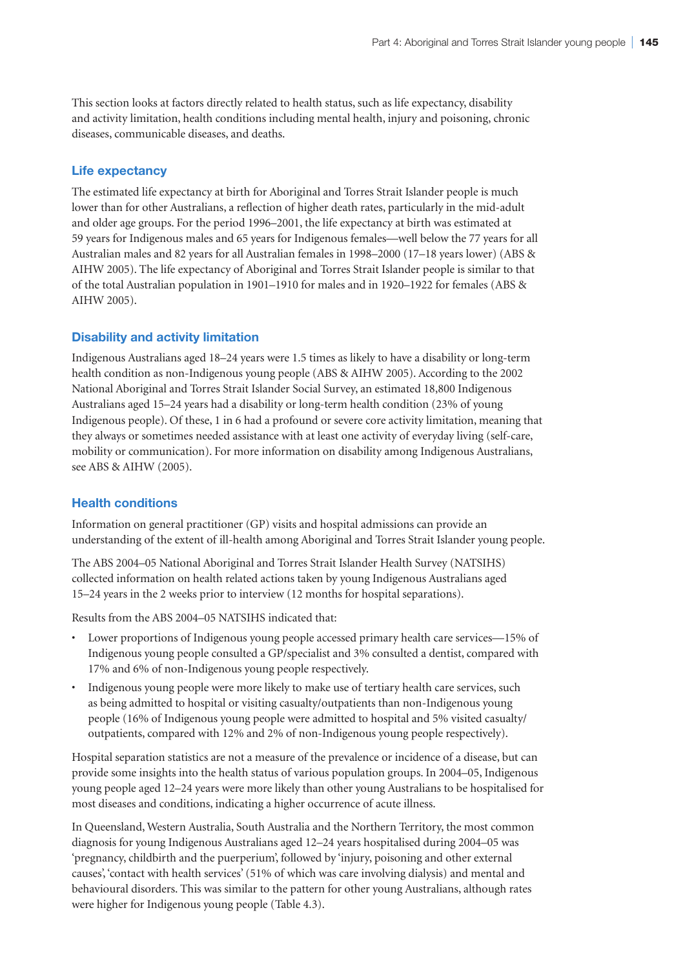This section looks at factors directly related to health status, such as life expectancy, disability and activity limitation, health conditions including mental health, injury and poisoning, chronic diseases, communicable diseases, and deaths.

# **Life expectancy**

The estimated life expectancy at birth for Aboriginal and Torres Strait Islander people is much lower than for other Australians, a reflection of higher death rates, particularly in the mid-adult and older age groups. For the period 1996–2001, the life expectancy at birth was estimated at 59 years for Indigenous males and 65 years for Indigenous females—well below the 77 years for all Australian males and 82 years for all Australian females in 1998–2000 (17–18 years lower) (ABS & AIHW 2005). The life expectancy of Aboriginal and Torres Strait Islander people is similar to that of the total Australian population in 1901–1910 for males and in 1920–1922 for females (ABS & AIHW 2005).

# **Disability and activity limitation**

Indigenous Australians aged 18–24 years were 1.5 times as likely to have a disability or long-term health condition as non-Indigenous young people (ABS & AIHW 2005). According to the 2002 National Aboriginal and Torres Strait Islander Social Survey, an estimated 18,800 Indigenous Australians aged 15–24 years had a disability or long-term health condition (23% of young Indigenous people). Of these, 1 in 6 had a profound or severe core activity limitation, meaning that they always or sometimes needed assistance with at least one activity of everyday living (self-care, mobility or communication). For more information on disability among Indigenous Australians, see ABS & AIHW (2005).

## **Health conditions**

Information on general practitioner (GP) visits and hospital admissions can provide an understanding of the extent of ill-health among Aboriginal and Torres Strait Islander young people.

The ABS 2004–05 National Aboriginal and Torres Strait Islander Health Survey (NATSIHS) collected information on health related actions taken by young Indigenous Australians aged 15–24 years in the 2 weeks prior to interview (12 months for hospital separations).

Results from the ABS 2004–05 NATSIHS indicated that:

- Lower proportions of Indigenous young people accessed primary health care services—15% of Indigenous young people consulted a GP/specialist and 3% consulted a dentist, compared with 17% and 6% of non-Indigenous young people respectively.
- Indigenous young people were more likely to make use of tertiary health care services, such as being admitted to hospital or visiting casualty/outpatients than non-Indigenous young people (16% of Indigenous young people were admitted to hospital and 5% visited casualty/ outpatients, compared with 12% and 2% of non-Indigenous young people respectively).

Hospital separation statistics are not a measure of the prevalence or incidence of a disease, but can provide some insights into the health status of various population groups. In 2004–05, Indigenous young people aged 12–24 years were more likely than other young Australians to be hospitalised for most diseases and conditions, indicating a higher occurrence of acute illness.

In Queensland, Western Australia, South Australia and the Northern Territory, the most common diagnosis for young Indigenous Australians aged 12–24 years hospitalised during 2004–05 was 'pregnancy, childbirth and the puerperium', followed by 'injury, poisoning and other external causes', 'contact with health services' (51% of which was care involving dialysis) and mental and behavioural disorders. This was similar to the pattern for other young Australians, although rates were higher for Indigenous young people (Table 4.3).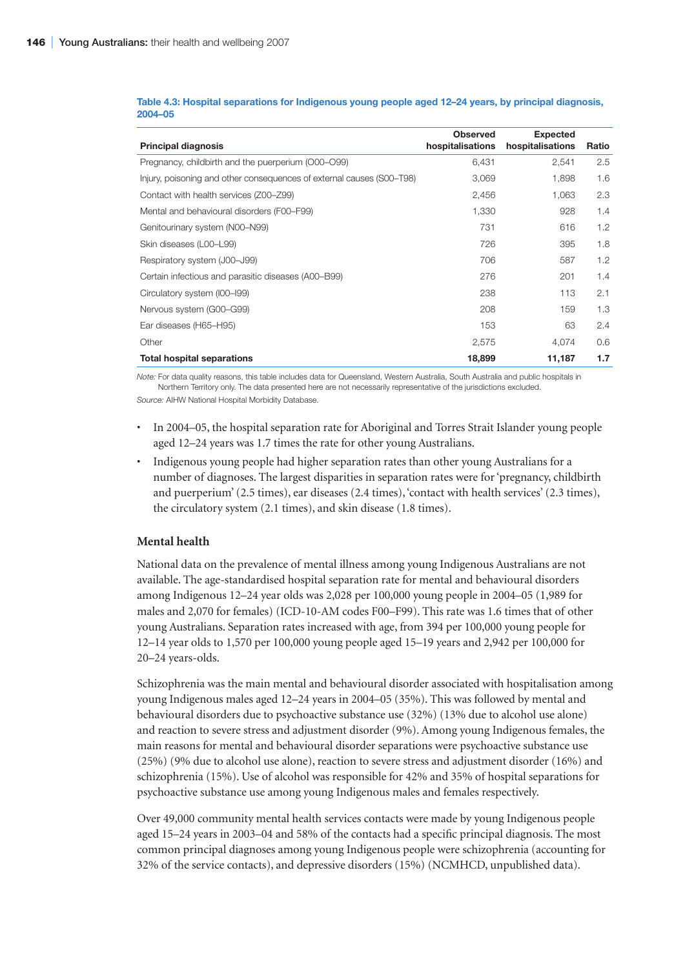| <b>Principal diagnosis</b>                                            | <b>Observed</b><br>hospitalisations | <b>Expected</b><br>hospitalisations | Ratio |
|-----------------------------------------------------------------------|-------------------------------------|-------------------------------------|-------|
| Pregnancy, childbirth and the puerperium (O00-O99)                    | 6,431                               | 2,541                               | 2.5   |
| Injury, poisoning and other consequences of external causes (S00–T98) | 3,069                               | 1,898                               | 1.6   |
| Contact with health services (Z00–Z99)                                | 2,456                               | 1,063                               | 2.3   |
| Mental and behavioural disorders (F00–F99)                            | 1,330                               | 928                                 | 1.4   |
| Genitourinary system (N00-N99)                                        | 731                                 | 616                                 | 1.2   |
| Skin diseases (L00-L99)                                               | 726                                 | 395                                 | 1.8   |
| Respiratory system (J00-J99)                                          | 706                                 | 587                                 | 1.2   |
| Certain infectious and parasitic diseases (A00–B99)                   | 276                                 | 201                                 | 1.4   |
| Circulatory system (I00–I99)                                          | 238                                 | 113                                 | 2.1   |
| Nervous system (G00-G99)                                              | 208                                 | 159                                 | 1.3   |
| Ear diseases (H65-H95)                                                | 153                                 | 63                                  | 2.4   |
| Other                                                                 | 2,575                               | 4,074                               | 0.6   |
| <b>Total hospital separations</b>                                     | 18,899                              | 11,187                              | 1.7   |

#### **Table 4.3: Hospital separations for Indigenous young people aged 12–24 years, by principal diagnosis, 2004–05**

*Note:* For data quality reasons, this table includes data for Queensland, Western Australia, South Australia and public hospitals in Northern Territory only. The data presented here are not necessarily representative of the jurisdictions excluded.

*Source:* AIHW National Hospital Morbidity Database.

- In 2004–05, the hospital separation rate for Aboriginal and Torres Strait Islander young people aged 12–24 years was 1.7 times the rate for other young Australians.
- Indigenous young people had higher separation rates than other young Australians for a number of diagnoses. The largest disparities in separation rates were for 'pregnancy, childbirth and puerperium' (2.5 times), ear diseases (2.4 times), 'contact with health services' (2.3 times), the circulatory system (2.1 times), and skin disease (1.8 times).

# **Mental health**

National data on the prevalence of mental illness among young Indigenous Australians are not available. The age-standardised hospital separation rate for mental and behavioural disorders among Indigenous 12–24 year olds was 2,028 per 100,000 young people in 2004–05 (1,989 for males and 2,070 for females) (ICD-10-AM codes F00–F99). This rate was 1.6 times that of other young Australians. Separation rates increased with age, from 394 per 100,000 young people for 12–14 year olds to 1,570 per 100,000 young people aged 15–19 years and 2,942 per 100,000 for 20–24 years-olds.

Schizophrenia was the main mental and behavioural disorder associated with hospitalisation among young Indigenous males aged 12–24 years in 2004–05 (35%). This was followed by mental and behavioural disorders due to psychoactive substance use (32%) (13% due to alcohol use alone) and reaction to severe stress and adjustment disorder (9%). Among young Indigenous females, the main reasons for mental and behavioural disorder separations were psychoactive substance use (25%) (9% due to alcohol use alone), reaction to severe stress and adjustment disorder (16%) and schizophrenia (15%). Use of alcohol was responsible for 42% and 35% of hospital separations for psychoactive substance use among young Indigenous males and females respectively.

Over 49,000 community mental health services contacts were made by young Indigenous people aged 15–24 years in 2003–04 and 58% of the contacts had a specific principal diagnosis. The most common principal diagnoses among young Indigenous people were schizophrenia (accounting for 32% of the service contacts), and depressive disorders (15%) (NCMHCD, unpublished data).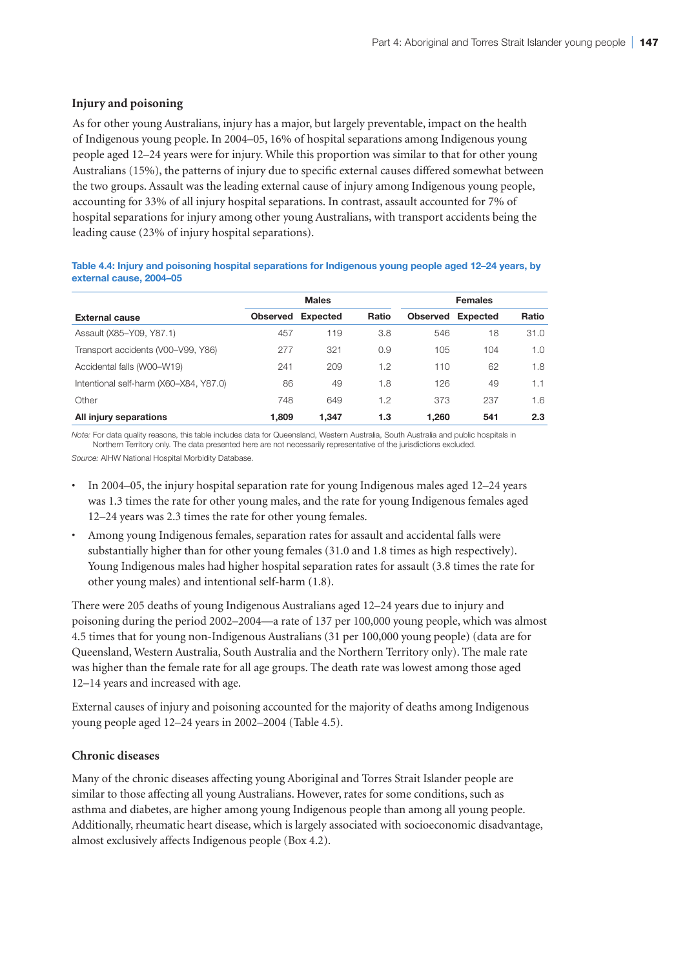## **Injury and poisoning**

As for other young Australians, injury has a major, but largely preventable, impact on the health of Indigenous young people. In 2004–05, 16% of hospital separations among Indigenous young people aged 12–24 years were for injury. While this proportion was similar to that for other young Australians (15%), the patterns of injury due to specific external causes differed somewhat between the two groups. Assault was the leading external cause of injury among Indigenous young people, accounting for 33% of all injury hospital separations. In contrast, assault accounted for 7% of hospital separations for injury among other young Australians, with transport accidents being the leading cause (23% of injury hospital separations).

#### **Table 4.4: Injury and poisoning hospital separations for Indigenous young people aged 12–24 years, by external cause, 2004–05**

|                                        |                 | <b>Males</b> |       |                 | <b>Females</b>  |       |  |
|----------------------------------------|-----------------|--------------|-------|-----------------|-----------------|-------|--|
| <b>External cause</b>                  | <b>Observed</b> | Expected     | Ratio | <b>Observed</b> | <b>Expected</b> | Ratio |  |
| Assault (X85-Y09, Y87.1)               | 457             | 119          | 3.8   | 546             | 18              | 31.0  |  |
| Transport accidents (V00-V99, Y86)     | 277             | 321          | 0.9   | 105             | 104             | 1.0   |  |
| Accidental falls (W00-W19)             | 241             | 209          | 1.2   | 110             | 62              | 1.8   |  |
| Intentional self-harm (X60–X84, Y87.0) | 86              | 49           | 1.8   | 126             | 49              | 1.1   |  |
| Other                                  | 748             | 649          | 1.2   | 373             | 237             | 1.6   |  |
| All injury separations                 | 1.809           | 1.347        | 1.3   | 1.260           | 541             | 2.3   |  |

*Note:* For data quality reasons, this table includes data for Queensland, Western Australia, South Australia and public hospitals in Northern Territory only. The data presented here are not necessarily representative of the jurisdictions excluded. *Source:* AIHW National Hospital Morbidity Database.

- In 2004–05, the injury hospital separation rate for young Indigenous males aged 12–24 years was 1.3 times the rate for other young males, and the rate for young Indigenous females aged 12–24 years was 2.3 times the rate for other young females.
- Among young Indigenous females, separation rates for assault and accidental falls were substantially higher than for other young females (31.0 and 1.8 times as high respectively). Young Indigenous males had higher hospital separation rates for assault (3.8 times the rate for other young males) and intentional self-harm (1.8).

There were 205 deaths of young Indigenous Australians aged 12–24 years due to injury and poisoning during the period 2002–2004—a rate of 137 per 100,000 young people, which was almost 4.5 times that for young non-Indigenous Australians (31 per 100,000 young people) (data are for Queensland, Western Australia, South Australia and the Northern Territory only). The male rate was higher than the female rate for all age groups. The death rate was lowest among those aged 12–14 years and increased with age.

External causes of injury and poisoning accounted for the majority of deaths among Indigenous young people aged 12–24 years in 2002–2004 (Table 4.5).

#### **Chronic diseases**

Many of the chronic diseases affecting young Aboriginal and Torres Strait Islander people are similar to those affecting all young Australians. However, rates for some conditions, such as asthma and diabetes, are higher among young Indigenous people than among all young people. Additionally, rheumatic heart disease, which is largely associated with socioeconomic disadvantage, almost exclusively affects Indigenous people (Box 4.2).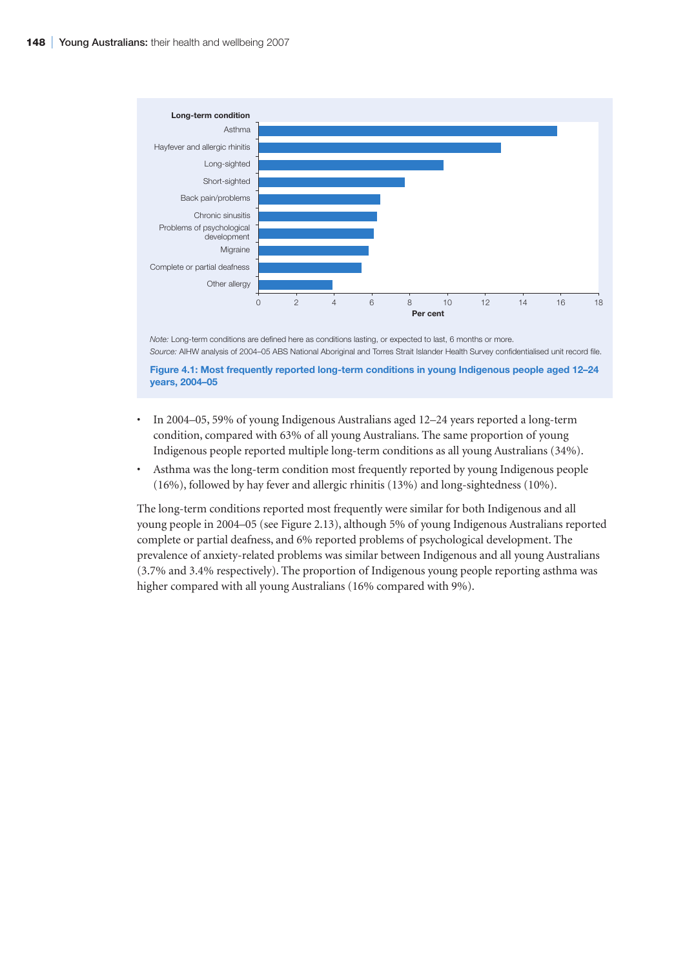

*Note:* Long-term conditions are defined here as conditions lasting, or expected to last, 6 months or more. *Source:* AIHW analysis of 2004–05 ABS National Aboriginal and Torres Strait Islander Health Survey confidentialised unit record file.

**Figure 4.1: Most frequently reported long-term conditions in young Indigenous people aged 12–24 years, 2004–05**

- In 2004–05, 59% of young Indigenous Australians aged 12–24 years reported a long-term condition, compared with 63% of all young Australians. The same proportion of young Indigenous people reported multiple long-term conditions as all young Australians (34%).
- Asthma was the long-term condition most frequently reported by young Indigenous people (16%), followed by hay fever and allergic rhinitis (13%) and long-sightedness (10%).

The long-term conditions reported most frequently were similar for both Indigenous and all young people in 2004–05 (see Figure 2.13), although 5% of young Indigenous Australians reported complete or partial deafness, and 6% reported problems of psychological development. The prevalence of anxiety-related problems was similar between Indigenous and all young Australians (3.7% and 3.4% respectively). The proportion of Indigenous young people reporting asthma was higher compared with all young Australians (16% compared with 9%).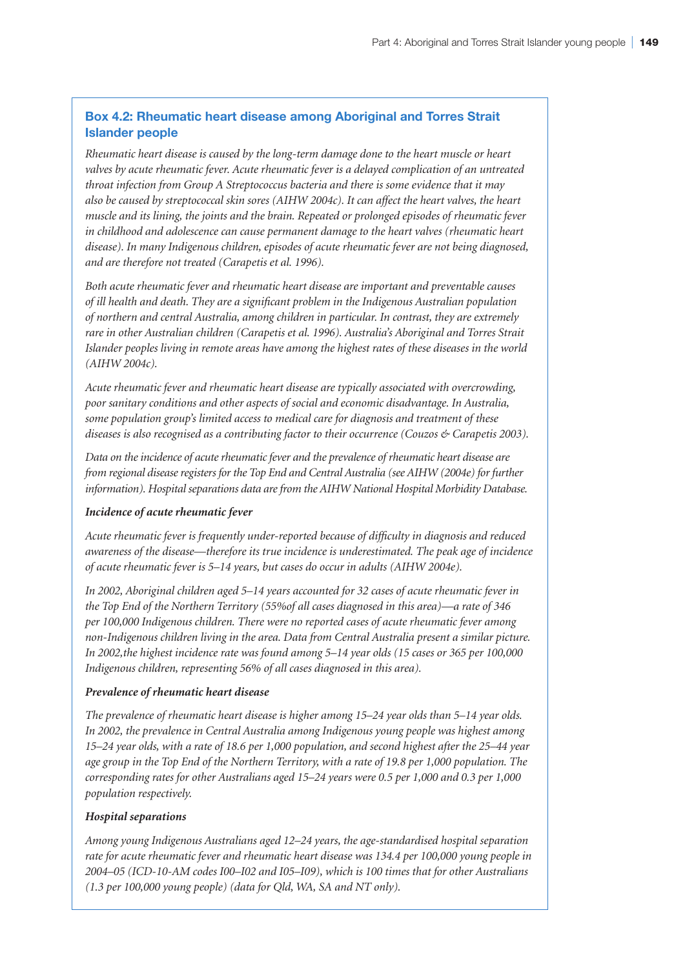# **Box 4.2: Rheumatic heart disease among Aboriginal and Torres Strait Islander people**

*Rheumatic heart disease is caused by the long-term damage done to the heart muscle or heart valves by acute rheumatic fever. Acute rheumatic fever is a delayed complication of an untreated throat infection from Group A Streptococcus bacteria and there is some evidence that it may also be caused by streptococcal skin sores (AIHW 2004c). It can affect the heart valves, the heart muscle and its lining, the joints and the brain. Repeated or prolonged episodes of rheumatic fever in childhood and adolescence can cause permanent damage to the heart valves (rheumatic heart disease). In many Indigenous children, episodes of acute rheumatic fever are not being diagnosed, and are therefore not treated (Carapetis et al. 1996).* 

*Both acute rheumatic fever and rheumatic heart disease are important and preventable causes of ill health and death. They are a significant problem in the Indigenous Australian population of northern and central Australia, among children in particular. In contrast, they are extremely rare in other Australian children (Carapetis et al. 1996). Australia's Aboriginal and Torres Strait Islander peoples living in remote areas have among the highest rates of these diseases in the world (AIHW 2004c).*

*Acute rheumatic fever and rheumatic heart disease are typically associated with overcrowding, poor sanitary conditions and other aspects of social and economic disadvantage. In Australia, some population group's limited access to medical care for diagnosis and treatment of these diseases is also recognised as a contributing factor to their occurrence (Couzos & Carapetis 2003).*

*Data on the incidence of acute rheumatic fever and the prevalence of rheumatic heart disease are from regional disease registers for the Top End and Central Australia (see AIHW (2004e) for further information). Hospital separations data are from the AIHW National Hospital Morbidity Database.*

#### *Incidence of acute rheumatic fever*

*Acute rheumatic fever is frequently under-reported because of difficulty in diagnosis and reduced awareness of the disease—therefore its true incidence is underestimated. The peak age of incidence of acute rheumatic fever is 5–14 years, but cases do occur in adults (AIHW 2004e).* 

*In 2002, Aboriginal children aged 5–14 years accounted for 32 cases of acute rheumatic fever in the Top End of the Northern Territory (55%of all cases diagnosed in this area)—a rate of 346 per 100,000 Indigenous children. There were no reported cases of acute rheumatic fever among non-Indigenous children living in the area. Data from Central Australia present a similar picture. In 2002,the highest incidence rate was found among 5–14 year olds (15 cases or 365 per 100,000 Indigenous children, representing 56% of all cases diagnosed in this area).*

#### *Prevalence of rheumatic heart disease*

*The prevalence of rheumatic heart disease is higher among 15–24 year olds than 5–14 year olds. In 2002, the prevalence in Central Australia among Indigenous young people was highest among 15–24 year olds, with a rate of 18.6 per 1,000 population, and second highest after the 25–44 year age group in the Top End of the Northern Territory, with a rate of 19.8 per 1,000 population. The corresponding rates for other Australians aged 15–24 years were 0.5 per 1,000 and 0.3 per 1,000 population respectively.*

# *Hospital separations*

*Among young Indigenous Australians aged 12–24 years, the age-standardised hospital separation rate for acute rheumatic fever and rheumatic heart disease was 134.4 per 100,000 young people in 2004–05 (ICD-10-AM codes I00–I02 and I05–I09), which is 100 times that for other Australians (1.3 per 100,000 young people) (data for Qld, WA, SA and NT only).*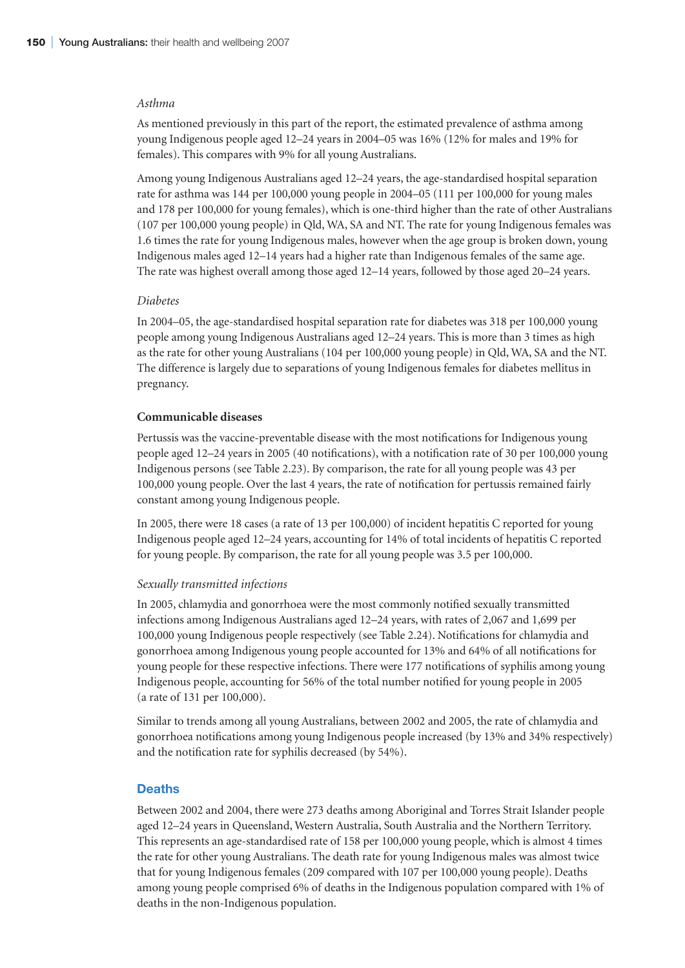#### *Asthma*

As mentioned previously in this part of the report, the estimated prevalence of asthma among young Indigenous people aged 12–24 years in 2004–05 was 16% (12% for males and 19% for females). This compares with 9% for all young Australians.

Among young Indigenous Australians aged 12–24 years, the age-standardised hospital separation rate for asthma was 144 per 100,000 young people in 2004–05 (111 per 100,000 for young males and 178 per 100,000 for young females), which is one-third higher than the rate of other Australians (107 per 100,000 young people) in Qld, WA, SA and NT. The rate for young Indigenous females was 1.6 times the rate for young Indigenous males, however when the age group is broken down, young Indigenous males aged 12–14 years had a higher rate than Indigenous females of the same age. The rate was highest overall among those aged 12–14 years, followed by those aged 20–24 years.

#### *Diabetes*

In 2004–05, the age-standardised hospital separation rate for diabetes was 318 per 100,000 young people among young Indigenous Australians aged 12–24 years. This is more than 3 times as high as the rate for other young Australians (104 per 100,000 young people) in Qld, WA, SA and the NT. The difference is largely due to separations of young Indigenous females for diabetes mellitus in pregnancy.

#### **Communicable diseases**

Pertussis was the vaccine-preventable disease with the most notifications for Indigenous young people aged 12–24 years in 2005 (40 notifications), with a notification rate of 30 per 100,000 young Indigenous persons (see Table 2.23). By comparison, the rate for all young people was 43 per 100,000 young people. Over the last 4 years, the rate of notification for pertussis remained fairly constant among young Indigenous people.

In 2005, there were 18 cases (a rate of 13 per 100,000) of incident hepatitis C reported for young Indigenous people aged 12–24 years, accounting for 14% of total incidents of hepatitis C reported for young people. By comparison, the rate for all young people was 3.5 per 100,000.

#### *Sexually transmitted infections*

In 2005, chlamydia and gonorrhoea were the most commonly notified sexually transmitted infections among Indigenous Australians aged 12–24 years, with rates of 2,067 and 1,699 per 100,000 young Indigenous people respectively (see Table 2.24). Notifications for chlamydia and gonorrhoea among Indigenous young people accounted for 13% and 64% of all notifications for young people for these respective infections. There were 177 notifications of syphilis among young Indigenous people, accounting for 56% of the total number notified for young people in 2005 (a rate of 131 per 100,000).

Similar to trends among all young Australians, between 2002 and 2005, the rate of chlamydia and gonorrhoea notifications among young Indigenous people increased (by 13% and 34% respectively) and the notification rate for syphilis decreased (by 54%).

#### **Deaths**

Between 2002 and 2004, there were 273 deaths among Aboriginal and Torres Strait Islander people aged 12–24 years in Queensland, Western Australia, South Australia and the Northern Territory. This represents an age-standardised rate of 158 per 100,000 young people, which is almost 4 times the rate for other young Australians. The death rate for young Indigenous males was almost twice that for young Indigenous females (209 compared with 107 per 100,000 young people). Deaths among young people comprised 6% of deaths in the Indigenous population compared with 1% of deaths in the non-Indigenous population.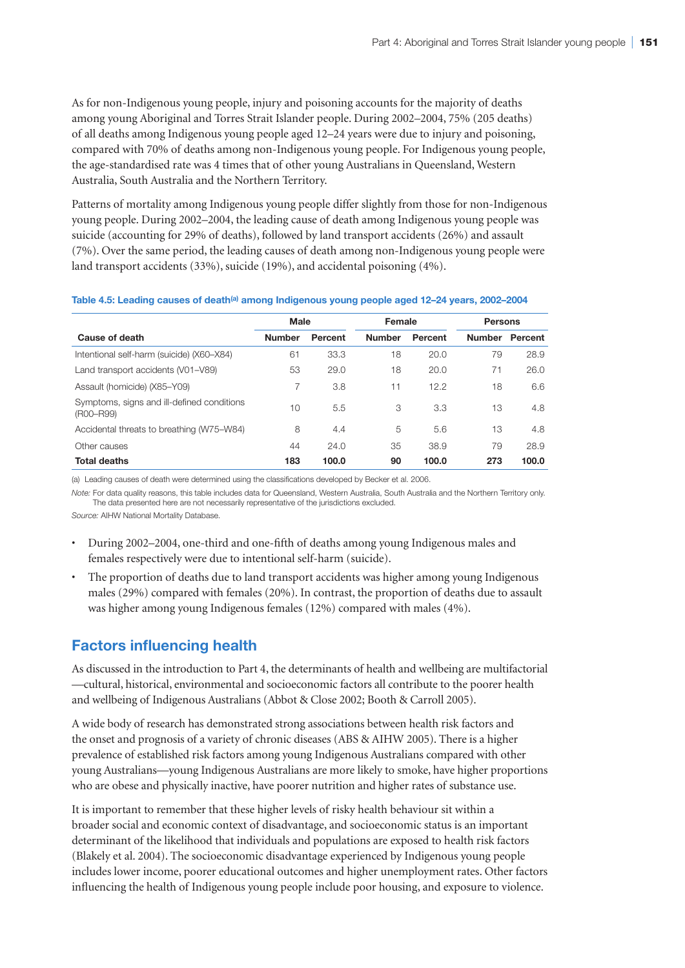As for non-Indigenous young people, injury and poisoning accounts for the majority of deaths among young Aboriginal and Torres Strait Islander people. During 2002–2004, 75% (205 deaths) of all deaths among Indigenous young people aged 12–24 years were due to injury and poisoning, compared with 70% of deaths among non-Indigenous young people. For Indigenous young people, the age-standardised rate was 4 times that of other young Australians in Queensland, Western Australia, South Australia and the Northern Territory.

Patterns of mortality among Indigenous young people differ slightly from those for non-Indigenous young people. During 2002–2004, the leading cause of death among Indigenous young people was suicide (accounting for 29% of deaths), followed by land transport accidents (26%) and assault (7%). Over the same period, the leading causes of death among non-Indigenous young people were land transport accidents (33%), suicide (19%), and accidental poisoning (4%).

|  | Table 4.5: Leading causes of death <sup>(a)</sup> among Indigenous young people aged 12-24 years, 2002-2004 |  |  |
|--|-------------------------------------------------------------------------------------------------------------|--|--|
|  |                                                                                                             |  |  |

|                                                         | <b>Male</b>   |         | Female        |         | <b>Persons</b> |         |
|---------------------------------------------------------|---------------|---------|---------------|---------|----------------|---------|
| Cause of death                                          | <b>Number</b> | Percent | <b>Number</b> | Percent | <b>Number</b>  | Percent |
| Intentional self-harm (suicide) (X60-X84)               | 61            | 33.3    | 18            | 20.0    | 79             | 28.9    |
| Land transport accidents (V01-V89)                      | 53            | 29.0    | 18            | 20.0    | 71             | 26.0    |
| Assault (homicide) (X85-Y09)                            | 7             | 3.8     | 11            | 12.2    | 18             | 6.6     |
| Symptoms, signs and ill-defined conditions<br>(R00-R99) | 10            | 5.5     | 3             | 3.3     | 13             | 4.8     |
| Accidental threats to breathing (W75–W84)               | 8             | 4.4     | 5             | 5.6     | 13             | 4.8     |
| Other causes                                            | 44            | 24.0    | 35            | 38.9    | 79             | 28.9    |
| <b>Total deaths</b>                                     | 183           | 100.0   | 90            | 100.0   | 273            | 100.0   |

(a) Leading causes of death were determined using the classifications developed by Becker et al. 2006.

*Note:* For data quality reasons, this table includes data for Queensland, Western Australia, South Australia and the Northern Territory only. The data presented here are not necessarily representative of the jurisdictions excluded.

*Source:* AIHW National Mortality Database.

- During 2002–2004, one-third and one-fifth of deaths among young Indigenous males and females respectively were due to intentional self-harm (suicide).
- The proportion of deaths due to land transport accidents was higher among young Indigenous males (29%) compared with females (20%). In contrast, the proportion of deaths due to assault was higher among young Indigenous females (12%) compared with males (4%).

# **Factors influencing health**

As discussed in the introduction to Part 4, the determinants of health and wellbeing are multifactorial —cultural, historical, environmental and socioeconomic factors all contribute to the poorer health and wellbeing of Indigenous Australians (Abbot & Close 2002; Booth & Carroll 2005).

A wide body of research has demonstrated strong associations between health risk factors and the onset and prognosis of a variety of chronic diseases (ABS & AIHW 2005). There is a higher prevalence of established risk factors among young Indigenous Australians compared with other young Australians—young Indigenous Australians are more likely to smoke, have higher proportions who are obese and physically inactive, have poorer nutrition and higher rates of substance use.

It is important to remember that these higher levels of risky health behaviour sit within a broader social and economic context of disadvantage, and socioeconomic status is an important determinant of the likelihood that individuals and populations are exposed to health risk factors (Blakely et al. 2004). The socioeconomic disadvantage experienced by Indigenous young people includes lower income, poorer educational outcomes and higher unemployment rates. Other factors influencing the health of Indigenous young people include poor housing, and exposure to violence.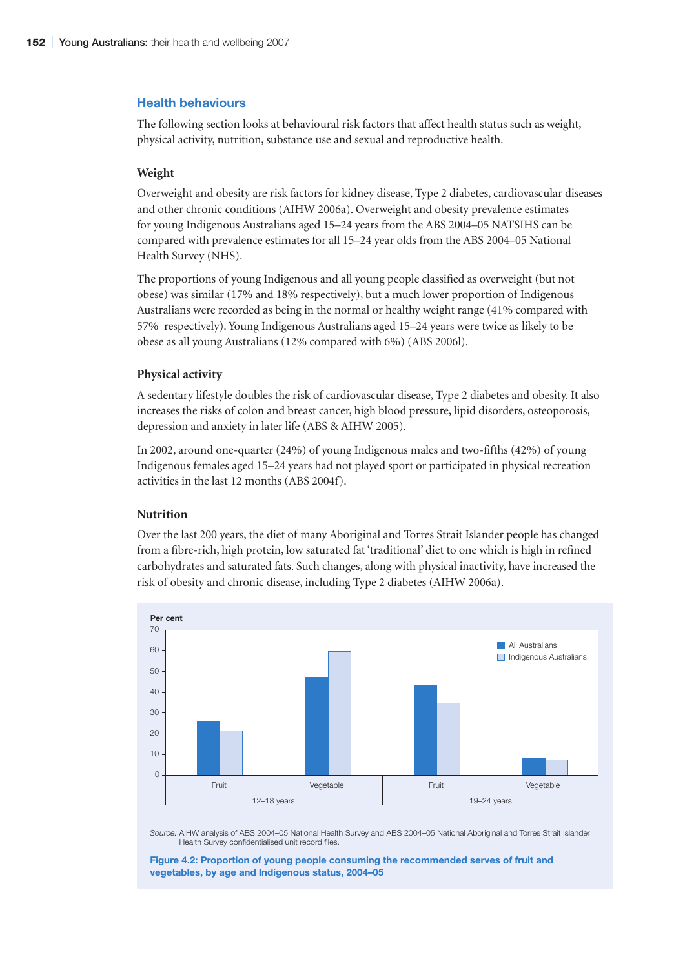# **Health behaviours**

The following section looks at behavioural risk factors that affect health status such as weight, physical activity, nutrition, substance use and sexual and reproductive health.

#### **Weight**

Overweight and obesity are risk factors for kidney disease, Type 2 diabetes, cardiovascular diseases and other chronic conditions (AIHW 2006a). Overweight and obesity prevalence estimates for young Indigenous Australians aged 15–24 years from the ABS 2004–05 NATSIHS can be compared with prevalence estimates for all 15–24 year olds from the ABS 2004–05 National Health Survey (NHS).

The proportions of young Indigenous and all young people classified as overweight (but not obese) was similar (17% and 18% respectively), but a much lower proportion of Indigenous Australians were recorded as being in the normal or healthy weight range (41% compared with 57% respectively). Young Indigenous Australians aged 15–24 years were twice as likely to be obese as all young Australians (12% compared with 6%) (ABS 2006l).

#### **Physical activity**

A sedentary lifestyle doubles the risk of cardiovascular disease, Type 2 diabetes and obesity. It also increases the risks of colon and breast cancer, high blood pressure, lipid disorders, osteoporosis, depression and anxiety in later life (ABS & AIHW 2005).

In 2002, around one-quarter (24%) of young Indigenous males and two-fifths (42%) of young Indigenous females aged 15–24 years had not played sport or participated in physical recreation activities in the last 12 months (ABS 2004f).

# **Nutrition**

Over the last 200 years, the diet of many Aboriginal and Torres Strait Islander people has changed from a fibre-rich, high protein, low saturated fat 'traditional' diet to one which is high in refined carbohydrates and saturated fats. Such changes, along with physical inactivity, have increased the risk of obesity and chronic disease, including Type 2 diabetes (AIHW 2006a).



*Source:* AIHW analysis of ABS 2004–05 National Health Survey and ABS 2004–05 National Aboriginal and Torres Strait Islander Health Survey confidentialised unit record files.

**Figure 4.2: Proportion of young people consuming the recommended serves of fruit and vegetables, by age and Indigenous status, 2004–05**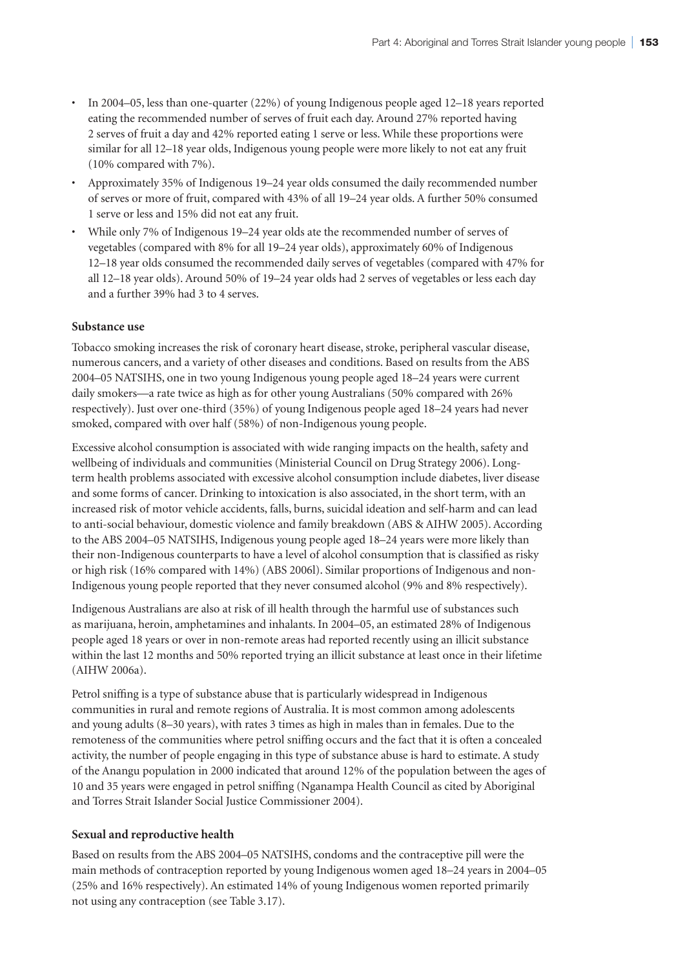- In 2004–05, less than one-quarter (22%) of young Indigenous people aged 12–18 years reported eating the recommended number of serves of fruit each day. Around 27% reported having 2 serves of fruit a day and 42% reported eating 1 serve or less. While these proportions were similar for all 12–18 year olds, Indigenous young people were more likely to not eat any fruit (10% compared with 7%).
- Approximately 35% of Indigenous 19–24 year olds consumed the daily recommended number of serves or more of fruit, compared with 43% of all 19–24 year olds. A further 50% consumed 1 serve or less and 15% did not eat any fruit.
- While only 7% of Indigenous 19–24 year olds ate the recommended number of serves of vegetables (compared with 8% for all 19–24 year olds), approximately 60% of Indigenous 12–18 year olds consumed the recommended daily serves of vegetables (compared with 47% for all 12–18 year olds). Around 50% of 19–24 year olds had 2 serves of vegetables or less each day and a further 39% had 3 to 4 serves.

# **Substance use**

Tobacco smoking increases the risk of coronary heart disease, stroke, peripheral vascular disease, numerous cancers, and a variety of other diseases and conditions. Based on results from the ABS 2004–05 NATSIHS, one in two young Indigenous young people aged 18–24 years were current daily smokers—a rate twice as high as for other young Australians (50% compared with 26% respectively). Just over one-third (35%) of young Indigenous people aged 18–24 years had never smoked, compared with over half (58%) of non-Indigenous young people.

Excessive alcohol consumption is associated with wide ranging impacts on the health, safety and wellbeing of individuals and communities (Ministerial Council on Drug Strategy 2006). Longterm health problems associated with excessive alcohol consumption include diabetes, liver disease and some forms of cancer. Drinking to intoxication is also associated, in the short term, with an increased risk of motor vehicle accidents, falls, burns, suicidal ideation and self-harm and can lead to anti-social behaviour, domestic violence and family breakdown (ABS & AIHW 2005). According to the ABS 2004–05 NATSIHS, Indigenous young people aged 18–24 years were more likely than their non-Indigenous counterparts to have a level of alcohol consumption that is classified as risky or high risk (16% compared with 14%) (ABS 2006l). Similar proportions of Indigenous and non-Indigenous young people reported that they never consumed alcohol (9% and 8% respectively).

Indigenous Australians are also at risk of ill health through the harmful use of substances such as marijuana, heroin, amphetamines and inhalants. In 2004–05, an estimated 28% of Indigenous people aged 18 years or over in non-remote areas had reported recently using an illicit substance within the last 12 months and 50% reported trying an illicit substance at least once in their lifetime (AIHW 2006a).

Petrol sniffing is a type of substance abuse that is particularly widespread in Indigenous communities in rural and remote regions of Australia. It is most common among adolescents and young adults (8–30 years), with rates 3 times as high in males than in females. Due to the remoteness of the communities where petrol sniffing occurs and the fact that it is often a concealed activity, the number of people engaging in this type of substance abuse is hard to estimate. A study of the Anangu population in 2000 indicated that around 12% of the population between the ages of 10 and 35 years were engaged in petrol sniffing (Nganampa Health Council as cited by Aboriginal and Torres Strait Islander Social Justice Commissioner 2004).

#### **Sexual and reproductive health**

Based on results from the ABS 2004–05 NATSIHS, condoms and the contraceptive pill were the main methods of contraception reported by young Indigenous women aged 18–24 years in 2004–05 (25% and 16% respectively). An estimated 14% of young Indigenous women reported primarily not using any contraception (see Table 3.17).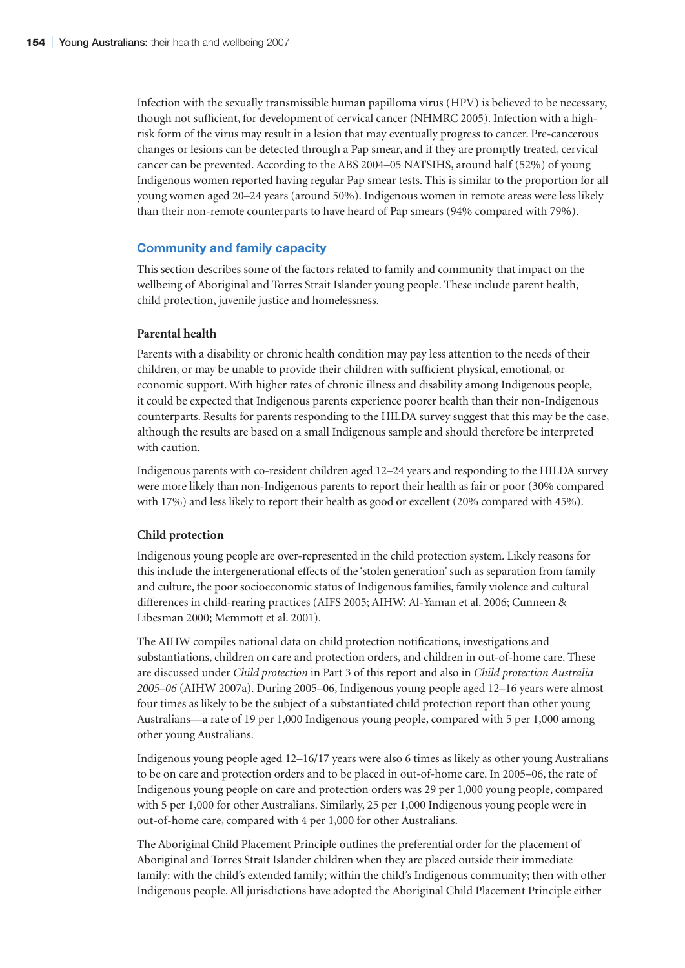Infection with the sexually transmissible human papilloma virus (HPV) is believed to be necessary, though not sufficient, for development of cervical cancer (NHMRC 2005). Infection with a highrisk form of the virus may result in a lesion that may eventually progress to cancer. Pre-cancerous changes or lesions can be detected through a Pap smear, and if they are promptly treated, cervical cancer can be prevented. According to the ABS 2004–05 NATSIHS, around half (52%) of young Indigenous women reported having regular Pap smear tests. This is similar to the proportion for all young women aged 20–24 years (around 50%). Indigenous women in remote areas were less likely than their non-remote counterparts to have heard of Pap smears (94% compared with 79%).

#### **Community and family capacity**

This section describes some of the factors related to family and community that impact on the wellbeing of Aboriginal and Torres Strait Islander young people. These include parent health, child protection, juvenile justice and homelessness.

#### **Parental health**

Parents with a disability or chronic health condition may pay less attention to the needs of their children, or may be unable to provide their children with sufficient physical, emotional, or economic support. With higher rates of chronic illness and disability among Indigenous people, it could be expected that Indigenous parents experience poorer health than their non-Indigenous counterparts. Results for parents responding to the HILDA survey suggest that this may be the case, although the results are based on a small Indigenous sample and should therefore be interpreted with caution.

Indigenous parents with co-resident children aged 12–24 years and responding to the HILDA survey were more likely than non-Indigenous parents to report their health as fair or poor (30% compared with 17%) and less likely to report their health as good or excellent (20% compared with 45%).

#### **Child protection**

Indigenous young people are over-represented in the child protection system. Likely reasons for this include the intergenerational effects of the 'stolen generation' such as separation from family and culture, the poor socioeconomic status of Indigenous families, family violence and cultural differences in child-rearing practices (AIFS 2005; AIHW: Al-Yaman et al. 2006; Cunneen & Libesman 2000; Memmott et al. 2001).

The AIHW compiles national data on child protection notifications, investigations and substantiations, children on care and protection orders, and children in out-of-home care. These are discussed under *Child protection* in Part 3 of this report and also in *Child protection Australia 2005–06* (AIHW 2007a). During 2005–06, Indigenous young people aged 12–16 years were almost four times as likely to be the subject of a substantiated child protection report than other young Australians—a rate of 19 per 1,000 Indigenous young people, compared with 5 per 1,000 among other young Australians.

Indigenous young people aged 12–16/17 years were also 6 times as likely as other young Australians to be on care and protection orders and to be placed in out-of-home care. In 2005–06, the rate of Indigenous young people on care and protection orders was 29 per 1,000 young people, compared with 5 per 1,000 for other Australians. Similarly, 25 per 1,000 Indigenous young people were in out-of-home care, compared with 4 per 1,000 for other Australians.

The Aboriginal Child Placement Principle outlines the preferential order for the placement of Aboriginal and Torres Strait Islander children when they are placed outside their immediate family: with the child's extended family; within the child's Indigenous community; then with other Indigenous people. All jurisdictions have adopted the Aboriginal Child Placement Principle either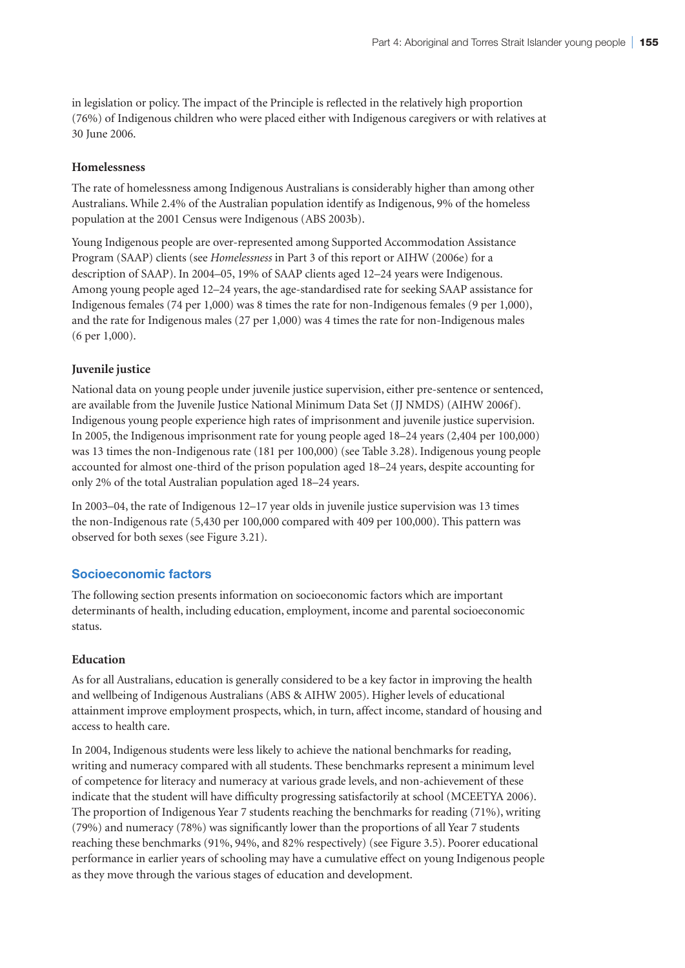in legislation or policy. The impact of the Principle is reflected in the relatively high proportion (76%) of Indigenous children who were placed either with Indigenous caregivers or with relatives at 30 June 2006.

# **Homelessness**

The rate of homelessness among Indigenous Australians is considerably higher than among other Australians. While 2.4% of the Australian population identify as Indigenous, 9% of the homeless population at the 2001 Census were Indigenous (ABS 2003b).

Young Indigenous people are over-represented among Supported Accommodation Assistance Program (SAAP) clients (see *Homelessness* in Part 3 of this report or AIHW (2006e) for a description of SAAP). In 2004–05, 19% of SAAP clients aged 12–24 years were Indigenous. Among young people aged 12–24 years, the age-standardised rate for seeking SAAP assistance for Indigenous females (74 per 1,000) was 8 times the rate for non-Indigenous females (9 per 1,000), and the rate for Indigenous males (27 per 1,000) was 4 times the rate for non-Indigenous males (6 per 1,000).

# **Juvenile justice**

National data on young people under juvenile justice supervision, either pre-sentence or sentenced, are available from the Juvenile Justice National Minimum Data Set (JJ NMDS) (AIHW 2006f). Indigenous young people experience high rates of imprisonment and juvenile justice supervision. In 2005, the Indigenous imprisonment rate for young people aged 18–24 years (2,404 per 100,000) was 13 times the non-Indigenous rate (181 per 100,000) (see Table 3.28). Indigenous young people accounted for almost one-third of the prison population aged 18–24 years, despite accounting for only 2% of the total Australian population aged 18–24 years.

In 2003–04, the rate of Indigenous 12–17 year olds in juvenile justice supervision was 13 times the non-Indigenous rate (5,430 per 100,000 compared with 409 per 100,000). This pattern was observed for both sexes (see Figure 3.21).

# **Socioeconomic factors**

The following section presents information on socioeconomic factors which are important determinants of health, including education, employment, income and parental socioeconomic status.

# **Education**

As for all Australians, education is generally considered to be a key factor in improving the health and wellbeing of Indigenous Australians (ABS & AIHW 2005). Higher levels of educational attainment improve employment prospects, which, in turn, affect income, standard of housing and access to health care.

In 2004, Indigenous students were less likely to achieve the national benchmarks for reading, writing and numeracy compared with all students. These benchmarks represent a minimum level of competence for literacy and numeracy at various grade levels, and non-achievement of these indicate that the student will have difficulty progressing satisfactorily at school (MCEETYA 2006). The proportion of Indigenous Year 7 students reaching the benchmarks for reading (71%), writing (79%) and numeracy (78%) was significantly lower than the proportions of all Year 7 students reaching these benchmarks (91%, 94%, and 82% respectively) (see Figure 3.5). Poorer educational performance in earlier years of schooling may have a cumulative effect on young Indigenous people as they move through the various stages of education and development.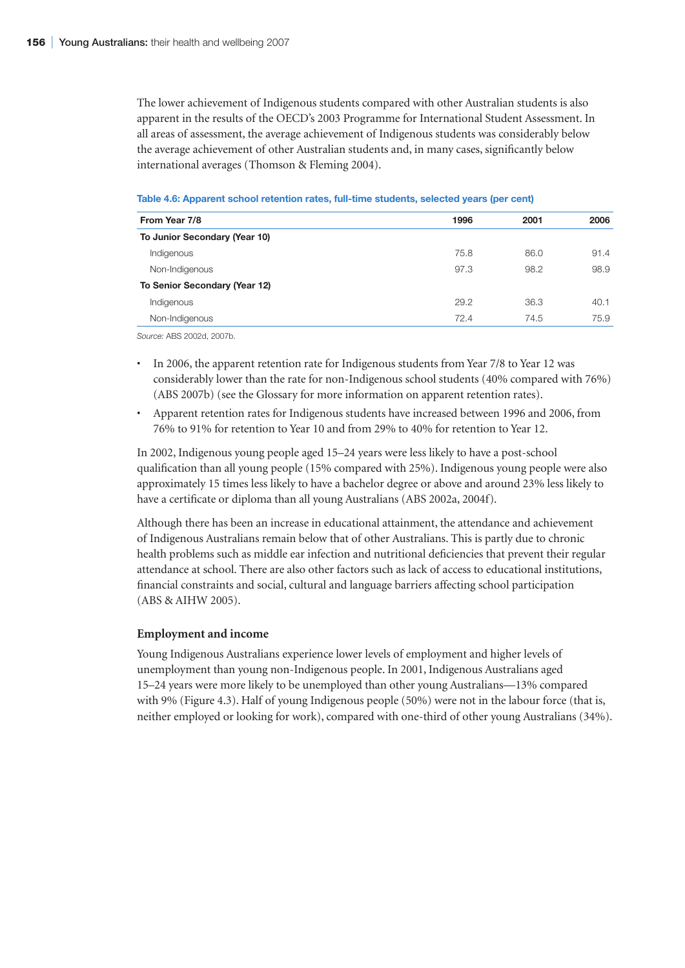The lower achievement of Indigenous students compared with other Australian students is also apparent in the results of the OECD's 2003 Programme for International Student Assessment. In all areas of assessment, the average achievement of Indigenous students was considerably below the average achievement of other Australian students and, in many cases, significantly below international averages (Thomson & Fleming 2004).

| Table 4.6: Apparent school retention rates, full-time students, selected years (per cent) |  |  |
|-------------------------------------------------------------------------------------------|--|--|
|                                                                                           |  |  |

| From Year 7/8                        | 1996 | 2001 | 2006 |
|--------------------------------------|------|------|------|
| To Junior Secondary (Year 10)        |      |      |      |
| Indigenous                           | 75.8 | 86.0 | 91.4 |
| Non-Indigenous                       | 97.3 | 98.2 | 98.9 |
| <b>To Senior Secondary (Year 12)</b> |      |      |      |
| Indigenous                           | 29.2 | 36.3 | 40.1 |
| Non-Indigenous                       | 72.4 | 74.5 | 75.9 |
|                                      |      |      |      |

*Source:* ABS 2002d, 2007b.

- In 2006, the apparent retention rate for Indigenous students from Year 7/8 to Year 12 was considerably lower than the rate for non-Indigenous school students (40% compared with 76%) (ABS 2007b) (see the Glossary for more information on apparent retention rates).
- Apparent retention rates for Indigenous students have increased between 1996 and 2006, from 76% to 91% for retention to Year 10 and from 29% to 40% for retention to Year 12.

In 2002, Indigenous young people aged 15–24 years were less likely to have a post-school qualification than all young people (15% compared with 25%). Indigenous young people were also approximately 15 times less likely to have a bachelor degree or above and around 23% less likely to have a certificate or diploma than all young Australians (ABS 2002a, 2004f).

Although there has been an increase in educational attainment, the attendance and achievement of Indigenous Australians remain below that of other Australians. This is partly due to chronic health problems such as middle ear infection and nutritional deficiencies that prevent their regular attendance at school. There are also other factors such as lack of access to educational institutions, financial constraints and social, cultural and language barriers affecting school participation (ABS & AIHW 2005).

# **Employment and income**

Young Indigenous Australians experience lower levels of employment and higher levels of unemployment than young non-Indigenous people. In 2001, Indigenous Australians aged 15–24 years were more likely to be unemployed than other young Australians—13% compared with 9% (Figure 4.3). Half of young Indigenous people (50%) were not in the labour force (that is, neither employed or looking for work), compared with one-third of other young Australians (34%).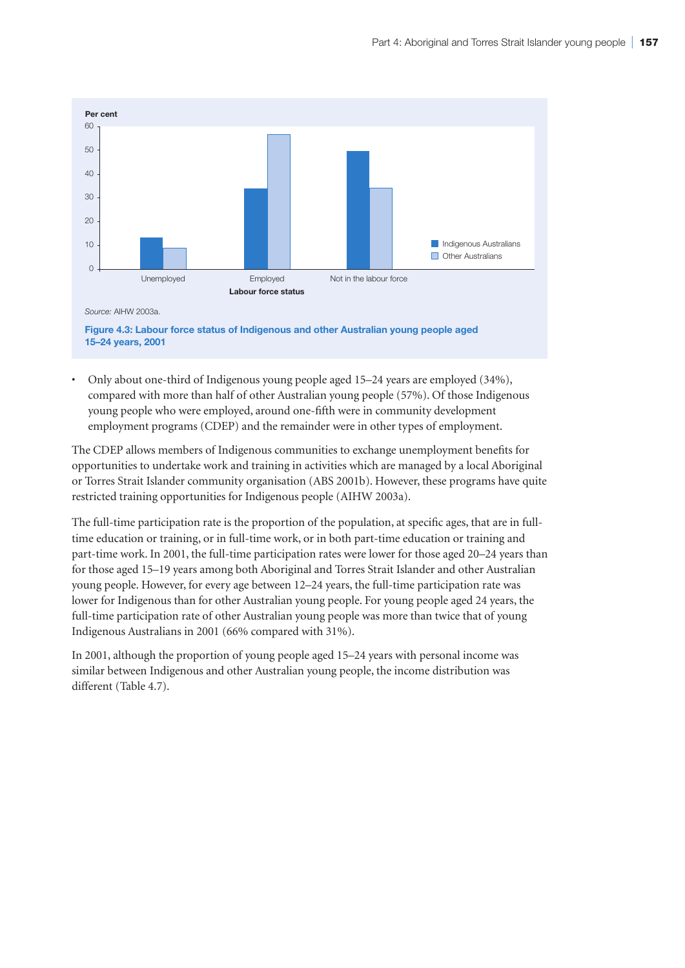

• Only about one-third of Indigenous young people aged 15–24 years are employed (34%), compared with more than half of other Australian young people (57%). Of those Indigenous young people who were employed, around one-fifth were in community development employment programs (CDEP) and the remainder were in other types of employment.

The CDEP allows members of Indigenous communities to exchange unemployment benefits for opportunities to undertake work and training in activities which are managed by a local Aboriginal or Torres Strait Islander community organisation (ABS 2001b). However, these programs have quite restricted training opportunities for Indigenous people (AIHW 2003a).

The full-time participation rate is the proportion of the population, at specific ages, that are in fulltime education or training, or in full-time work, or in both part-time education or training and part-time work. In 2001, the full-time participation rates were lower for those aged 20–24 years than for those aged 15–19 years among both Aboriginal and Torres Strait Islander and other Australian young people. However, for every age between 12–24 years, the full-time participation rate was lower for Indigenous than for other Australian young people. For young people aged 24 years, the full-time participation rate of other Australian young people was more than twice that of young Indigenous Australians in 2001 (66% compared with 31%).

In 2001, although the proportion of young people aged 15–24 years with personal income was similar between Indigenous and other Australian young people, the income distribution was different (Table 4.7).